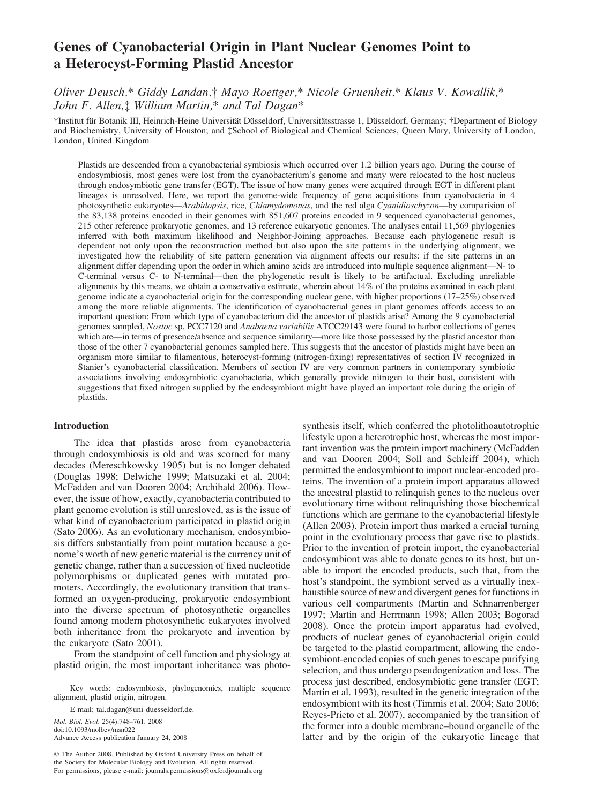# Genes of Cyanobacterial Origin in Plant Nuclear Genomes Point to a Heterocyst-Forming Plastid Ancestor

# Oliver Deusch,\* Giddy Landan,† Mayo Roettger,\* Nicole Gruenheit,\* Klaus V. Kowallik,\* John F. Allen,‡ William Martin,\* and Tal Dagan\*

\*Institut für Botanik III, Heinrich-Heine Universität Düsseldorf, Universitätsstrasse 1, Düsseldorf, Germany; †Department of Biology and Biochemistry, University of Houston; and : School of Biological and Chemical Sciences, Queen Mary, University of London, London, United Kingdom

Plastids are descended from a cyanobacterial symbiosis which occurred over 1.2 billion years ago. During the course of endosymbiosis, most genes were lost from the cyanobacterium's genome and many were relocated to the host nucleus through endosymbiotic gene transfer (EGT). The issue of how many genes were acquired through EGT in different plant lineages is unresolved. Here, we report the genome-wide frequency of gene acquisitions from cyanobacteria in 4 photosynthetic eukaryotes—Arabidopsis, rice, Chlamydomonas, and the red alga Cyanidioschyzon—by comparision of the 83,138 proteins encoded in their genomes with 851,607 proteins encoded in 9 sequenced cyanobacterial genomes, 215 other reference prokaryotic genomes, and 13 reference eukaryotic genomes. The analyses entail 11,569 phylogenies inferred with both maximum likelihood and Neighbor-Joining approaches. Because each phylogenetic result is dependent not only upon the reconstruction method but also upon the site patterns in the underlying alignment, we investigated how the reliability of site pattern generation via alignment affects our results: if the site patterns in an alignment differ depending upon the order in which amino acids are introduced into multiple sequence alignment—N- to C-terminal versus C- to N-terminal—then the phylogenetic result is likely to be artifactual. Excluding unreliable alignments by this means, we obtain a conservative estimate, wherein about 14% of the proteins examined in each plant genome indicate a cyanobacterial origin for the corresponding nuclear gene, with higher proportions (17–25%) observed among the more reliable alignments. The identification of cyanobacterial genes in plant genomes affords access to an important question: From which type of cyanobacterium did the ancestor of plastids arise? Among the 9 cyanobacterial genomes sampled, Nostoc sp. PCC7120 and Anabaena variabilis ATCC29143 were found to harbor collections of genes which are—in terms of presence/absence and sequence similarity—more like those possessed by the plastid ancestor than those of the other 7 cyanobacterial genomes sampled here. This suggests that the ancestor of plastids might have been an organism more similar to filamentous, heterocyst-forming (nitrogen-fixing) representatives of section IV recognized in Stanier's cyanobacterial classification. Members of section IV are very common partners in contemporary symbiotic associations involving endosymbiotic cyanobacteria, which generally provide nitrogen to their host, consistent with suggestions that fixed nitrogen supplied by the endosymbiont might have played an important role during the origin of plastids.

# Introduction

The idea that plastids arose from cyanobacteria through endosymbiosis is old and was scorned for many decades (Mereschkowsky 1905) but is no longer debated (Douglas 1998; Delwiche 1999; Matsuzaki et al. 2004; McFadden and van Dooren 2004; Archibald 2006). However, the issue of how, exactly, cyanobacteria contributed to plant genome evolution is still unresloved, as is the issue of what kind of cyanobacterium participated in plastid origin (Sato 2006). As an evolutionary mechanism, endosymbiosis differs substantially from point mutation because a genome's worth of new genetic material is the currency unit of genetic change, rather than a succession of fixed nucleotide polymorphisms or duplicated genes with mutated promoters. Accordingly, the evolutionary transition that transformed an oxygen-producing, prokaryotic endosymbiont into the diverse spectrum of photosynthetic organelles found among modern photosynthetic eukaryotes involved both inheritance from the prokaryote and invention by the eukaryote (Sato 2001).

From the standpoint of cell function and physiology at plastid origin, the most important inheritance was photo-

Key words: endosymbiosis, phylogenomics, multiple sequence alignment, plastid origin, nitrogen.

E-mail: tal.dagan@uni-duesseldorf.de. Mol. Biol. Evol. 25(4):748–761. 2008 doi:10.1093/molbev/msn022 Advance Access publication January 24, 2008

 $©$  The Author 2008. Published by Oxford University Press on behalf of the Society for Molecular Biology and Evolution. All rights reserved. For permissions, please e-mail: journals.permissions@oxfordjournals.org synthesis itself, which conferred the photolithoautotrophic lifestyle upon a heterotrophic host, whereas the most important invention was the protein import machinery (McFadden and van Dooren 2004; Soll and Schleiff 2004), which permitted the endosymbiont to import nuclear-encoded proteins. The invention of a protein import apparatus allowed the ancestral plastid to relinquish genes to the nucleus over evolutionary time without relinquishing those biochemical functions which are germane to the cyanobacterial lifestyle (Allen 2003). Protein import thus marked a crucial turning point in the evolutionary process that gave rise to plastids. Prior to the invention of protein import, the cyanobacterial endosymbiont was able to donate genes to its host, but unable to import the encoded products, such that, from the host's standpoint, the symbiont served as a virtually inexhaustible source of new and divergent genes for functions in various cell compartments (Martin and Schnarrenberger 1997; Martin and Herrmann 1998; Allen 2003; Bogorad 2008). Once the protein import apparatus had evolved, products of nuclear genes of cyanobacterial origin could be targeted to the plastid compartment, allowing the endosymbiont-encoded copies of such genes to escape purifying selection, and thus undergo pseudogenization and loss. The process just described, endosymbiotic gene transfer (EGT; Martin et al. 1993), resulted in the genetic integration of the endosymbiont with its host (Timmis et al. 2004; Sato 2006; Reyes-Prieto et al. 2007), accompanied by the transition of the former into a double membrane–bound organelle of the latter and by the origin of the eukaryotic lineage that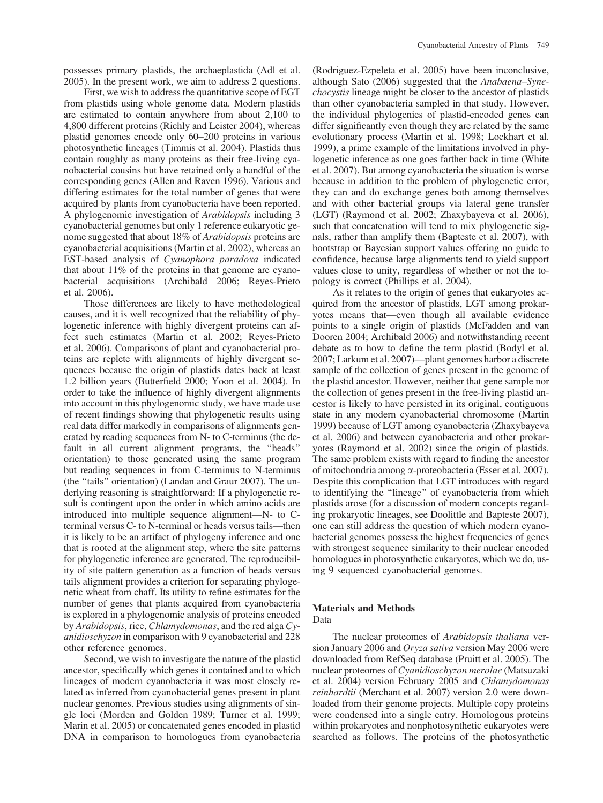possesses primary plastids, the archaeplastida (Adl et al. 2005). In the present work, we aim to address 2 questions.

First, we wish to address the quantitative scope of EGT from plastids using whole genome data. Modern plastids are estimated to contain anywhere from about 2,100 to 4,800 different proteins (Richly and Leister 2004), whereas plastid genomes encode only 60–200 proteins in various photosynthetic lineages (Timmis et al. 2004). Plastids thus contain roughly as many proteins as their free-living cyanobacterial cousins but have retained only a handful of the corresponding genes (Allen and Raven 1996). Various and differing estimates for the total number of genes that were acquired by plants from cyanobacteria have been reported. A phylogenomic investigation of Arabidopsis including 3 cyanobacterial genomes but only 1 reference eukaryotic genome suggested that about 18% of Arabidopsis proteins are cyanobacterial acquisitions (Martin et al. 2002), whereas an EST-based analysis of Cyanophora paradoxa indicated that about 11% of the proteins in that genome are cyanobacterial acquisitions (Archibald 2006; Reyes-Prieto et al. 2006).

Those differences are likely to have methodological causes, and it is well recognized that the reliability of phylogenetic inference with highly divergent proteins can affect such estimates (Martin et al. 2002; Reyes-Prieto et al. 2006). Comparisons of plant and cyanobacterial proteins are replete with alignments of highly divergent sequences because the origin of plastids dates back at least 1.2 billion years (Butterfield 2000; Yoon et al. 2004). In order to take the influence of highly divergent alignments into account in this phylogenomic study, we have made use of recent findings showing that phylogenetic results using real data differ markedly in comparisons of alignments generated by reading sequences from N- to C-terminus (the default in all current alignment programs, the ''heads'' orientation) to those generated using the same program but reading sequences in from C-terminus to N-terminus (the ''tails'' orientation) (Landan and Graur 2007). The underlying reasoning is straightforward: If a phylogenetic result is contingent upon the order in which amino acids are introduced into multiple sequence alignment—N- to Cterminal versus C- to N-terminal or heads versus tails—then it is likely to be an artifact of phylogeny inference and one that is rooted at the alignment step, where the site patterns for phylogenetic inference are generated. The reproducibility of site pattern generation as a function of heads versus tails alignment provides a criterion for separating phylogenetic wheat from chaff. Its utility to refine estimates for the number of genes that plants acquired from cyanobacteria is explored in a phylogenomic analysis of proteins encoded by Arabidopsis, rice, Chlamydomonas, and the red alga Cyanidioschyzon in comparison with 9 cyanobacterial and 228 other reference genomes.

Second, we wish to investigate the nature of the plastid ancestor, specifically which genes it contained and to which lineages of modern cyanobacteria it was most closely related as inferred from cyanobacterial genes present in plant nuclear genomes. Previous studies using alignments of single loci (Morden and Golden 1989; Turner et al. 1999; Marin et al. 2005) or concatenated genes encoded in plastid DNA in comparison to homologues from cyanobacteria

(Rodriguez-Ezpeleta et al. 2005) have been inconclusive, although Sato (2006) suggested that the Anabaena–Synechocystis lineage might be closer to the ancestor of plastids than other cyanobacteria sampled in that study. However, the individual phylogenies of plastid-encoded genes can differ significantly even though they are related by the same evolutionary process (Martin et al. 1998; Lockhart et al. 1999), a prime example of the limitations involved in phylogenetic inference as one goes farther back in time (White et al. 2007). But among cyanobacteria the situation is worse because in addition to the problem of phylogenetic error, they can and do exchange genes both among themselves and with other bacterial groups via lateral gene transfer (LGT) (Raymond et al. 2002; Zhaxybayeva et al. 2006), such that concatenation will tend to mix phylogenetic signals, rather than amplify them (Bapteste et al. 2007), with bootstrap or Bayesian support values offering no guide to confidence, because large alignments tend to yield support values close to unity, regardless of whether or not the topology is correct (Phillips et al. 2004).

As it relates to the origin of genes that eukaryotes acquired from the ancestor of plastids, LGT among prokaryotes means that—even though all available evidence points to a single origin of plastids (McFadden and van Dooren 2004; Archibald 2006) and notwithstanding recent debate as to how to define the term plastid (Bodyl et al. 2007; Larkum et al. 2007)—plant genomes harbor a discrete sample of the collection of genes present in the genome of the plastid ancestor. However, neither that gene sample nor the collection of genes present in the free-living plastid ancestor is likely to have persisted in its original, contiguous state in any modern cyanobacterial chromosome (Martin 1999) because of LGT among cyanobacteria (Zhaxybayeva et al. 2006) and between cyanobacteria and other prokaryotes (Raymond et al. 2002) since the origin of plastids. The same problem exists with regard to finding the ancestor of mitochondria among *a*-proteobacteria (Esser et al. 2007). Despite this complication that LGT introduces with regard to identifying the ''lineage'' of cyanobacteria from which plastids arose (for a discussion of modern concepts regarding prokaryotic lineages, see Doolittle and Bapteste 2007), one can still address the question of which modern cyanobacterial genomes possess the highest frequencies of genes with strongest sequence similarity to their nuclear encoded homologues in photosynthetic eukaryotes, which we do, using 9 sequenced cyanobacterial genomes.

# Materials and Methods Data

The nuclear proteomes of Arabidopsis thaliana version January 2006 and Oryza sativa version May 2006 were downloaded from RefSeq database (Pruitt et al. 2005). The nuclear proteomes of Cyanidioschyzon merolae (Matsuzaki et al. 2004) version February 2005 and Chlamydomonas reinhardtii (Merchant et al. 2007) version 2.0 were downloaded from their genome projects. Multiple copy proteins were condensed into a single entry. Homologous proteins within prokaryotes and nonphotosynthetic eukaryotes were searched as follows. The proteins of the photosynthetic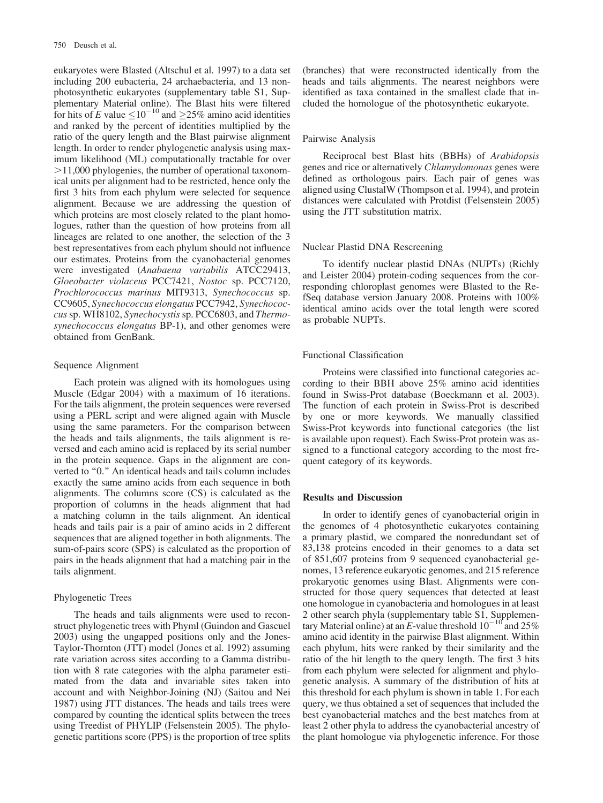eukaryotes were Blasted (Altschul et al. 1997) to a data set including 200 eubacteria, 24 archaebacteria, and 13 nonphotosynthetic eukaryotes (supplementary table S1, Supplementary Material online). The Blast hits were filtered for hits of E value  $\leq 10^{-10}$  and  $\geq 25\%$  amino acid identities and ranked by the percent of identities multiplied by the ratio of the query length and the Blast pairwise alignment length. In order to render phylogenetic analysis using maximum likelihood (ML) computationally tractable for over  $>11,000$  phylogenies, the number of operational taxonomical units per alignment had to be restricted, hence only the first 3 hits from each phylum were selected for sequence alignment. Because we are addressing the question of which proteins are most closely related to the plant homologues, rather than the question of how proteins from all lineages are related to one another, the selection of the 3 best representatives from each phylum should not influence our estimates. Proteins from the cyanobacterial genomes were investigated (Anabaena variabilis ATCC29413, Gloeobacter violaceus PCC7421, Nostoc sp. PCC7120, Prochlorococcus marinus MIT9313, Synechococcus sp. CC9605, Synechococcus elongatus PCC7942, Synechococcus sp. WH8102, Synechocystis sp. PCC6803, and Thermosynechococcus elongatus BP-1), and other genomes were obtained from GenBank.

#### Sequence Alignment

Each protein was aligned with its homologues using Muscle (Edgar 2004) with a maximum of 16 iterations. For the tails alignment, the protein sequences were reversed using a PERL script and were aligned again with Muscle using the same parameters. For the comparison between the heads and tails alignments, the tails alignment is reversed and each amino acid is replaced by its serial number in the protein sequence. Gaps in the alignment are converted to "0." An identical heads and tails column includes exactly the same amino acids from each sequence in both alignments. The columns score (CS) is calculated as the proportion of columns in the heads alignment that had a matching column in the tails alignment. An identical heads and tails pair is a pair of amino acids in 2 different sequences that are aligned together in both alignments. The sum-of-pairs score (SPS) is calculated as the proportion of pairs in the heads alignment that had a matching pair in the tails alignment.

# Phylogenetic Trees

The heads and tails alignments were used to reconstruct phylogenetic trees with Phyml (Guindon and Gascuel 2003) using the ungapped positions only and the Jones-Taylor-Thornton (JTT) model (Jones et al. 1992) assuming rate variation across sites according to a Gamma distribution with 8 rate categories with the alpha parameter estimated from the data and invariable sites taken into account and with Neighbor-Joining (NJ) (Saitou and Nei 1987) using JTT distances. The heads and tails trees were compared by counting the identical splits between the trees using Treedist of PHYLIP (Felsenstein 2005). The phylogenetic partitions score (PPS) is the proportion of tree splits (branches) that were reconstructed identically from the heads and tails alignments. The nearest neighbors were identified as taxa contained in the smallest clade that included the homologue of the photosynthetic eukaryote.

#### Pairwise Analysis

Reciprocal best Blast hits (BBHs) of Arabidopsis genes and rice or alternatively Chlamydomonas genes were defined as orthologous pairs. Each pair of genes was aligned using ClustalW (Thompson et al. 1994), and protein distances were calculated with Protdist (Felsenstein 2005) using the JTT substitution matrix.

#### Nuclear Plastid DNA Rescreening

To identify nuclear plastid DNAs (NUPTs) (Richly and Leister 2004) protein-coding sequences from the corresponding chloroplast genomes were Blasted to the RefSeq database version January 2008. Proteins with 100% identical amino acids over the total length were scored as probable NUPTs.

# Functional Classification

Proteins were classified into functional categories according to their BBH above 25% amino acid identities found in Swiss-Prot database (Boeckmann et al. 2003). The function of each protein in Swiss-Prot is described by one or more keywords. We manually classified Swiss-Prot keywords into functional categories (the list is available upon request). Each Swiss-Prot protein was assigned to a functional category according to the most frequent category of its keywords.

#### Results and Discussion

In order to identify genes of cyanobacterial origin in the genomes of 4 photosynthetic eukaryotes containing a primary plastid, we compared the nonredundant set of 83,138 proteins encoded in their genomes to a data set of 851,607 proteins from 9 sequenced cyanobacterial genomes, 13 reference eukaryotic genomes, and 215 reference prokaryotic genomes using Blast. Alignments were constructed for those query sequences that detected at least one homologue in cyanobacteria and homologues in at least 2 other search phyla (supplementary table S1, Supplementary Material online) at an E-value threshold  $10^{-10}$  and 25% amino acid identity in the pairwise Blast alignment. Within each phylum, hits were ranked by their similarity and the ratio of the hit length to the query length. The first 3 hits from each phylum were selected for alignment and phylogenetic analysis. A summary of the distribution of hits at this threshold for each phylum is shown in table 1. For each query, we thus obtained a set of sequences that included the best cyanobacterial matches and the best matches from at least 2 other phyla to address the cyanobacterial ancestry of the plant homologue via phylogenetic inference. For those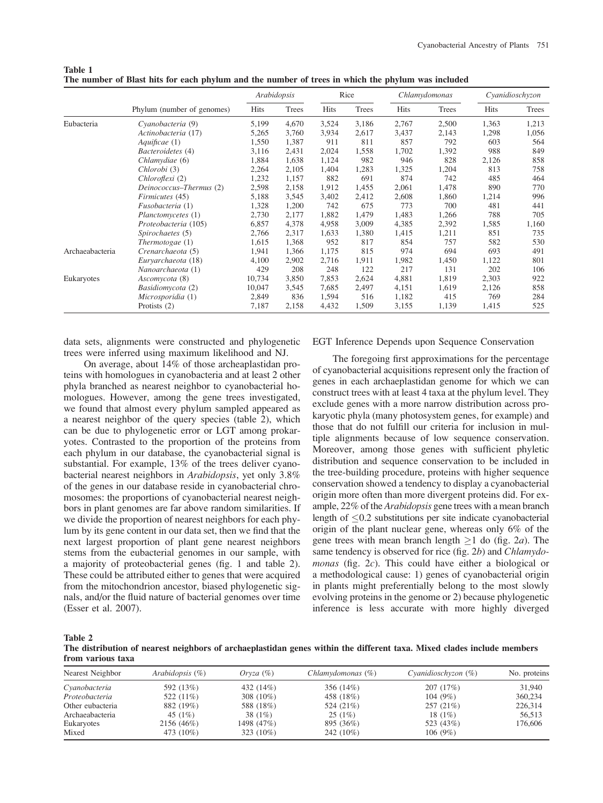|                 |                            | Arabidopsis |       | Rice  |       | Chlamydomonas |       | Cyanidioschyzon |       |
|-----------------|----------------------------|-------------|-------|-------|-------|---------------|-------|-----------------|-------|
|                 | Phylum (number of genomes) | Hits        | Trees | Hits  | Trees | <b>Hits</b>   | Trees | Hits            | Trees |
| Eubacteria      | Cyanobacteria (9)          | 5,199       | 4,670 | 3,524 | 3,186 | 2,767         | 2,500 | 1,363           | 1,213 |
|                 | Actinobacteria (17)        | 5,265       | 3,760 | 3,934 | 2,617 | 3,437         | 2,143 | 1,298           | 1,056 |
|                 | Aquificae (1)              | 1,550       | 1,387 | 911   | 811   | 857           | 792   | 603             | 564   |
|                 | Bacteroidetes (4)          | 3,116       | 2,431 | 2,024 | 1,558 | 1,702         | 1,392 | 988             | 849   |
|                 | Chlamydiae (6)             | 1,884       | 1,638 | 1,124 | 982   | 946           | 828   | 2,126           | 858   |
|                 | Chlorobi (3)               | 2,264       | 2,105 | 1,404 | 1,283 | 1,325         | 1,204 | 813             | 758   |
|                 | Chloroflexi (2)            | 1,232       | 1,157 | 882   | 691   | 874           | 742   | 485             | 464   |
|                 | Deinococcus-Thermus (2)    | 2,598       | 2,158 | 1,912 | 1,455 | 2,061         | 1,478 | 890             | 770   |
|                 | Firmicutes (45)            | 5,188       | 3,545 | 3,402 | 2,412 | 2,608         | 1,860 | 1,214           | 996   |
|                 | Fusobacteria (1)           | 1,328       | 1,200 | 742   | 675   | 773           | 700   | 481             | 441   |
|                 | Planctomycetes (1)         | 2,730       | 2,177 | 1,882 | 1,479 | 1,483         | 1,266 | 788             | 705   |
|                 | Proteobacteria (105)       | 6,857       | 4,378 | 4,958 | 3,009 | 4,385         | 2,392 | 1,585           | 1,160 |
|                 | Spirochaetes (5)           | 2,766       | 2,317 | 1,633 | 1,380 | 1,415         | 1,211 | 851             | 735   |
|                 | Thermotogae $(1)$          | 1,615       | 1,368 | 952   | 817   | 854           | 757   | 582             | 530   |
| Archaeabacteria | Crenarchaeota (5)          | 1,941       | 1,366 | 1,175 | 815   | 974           | 694   | 693             | 491   |
|                 | Eurvarchaeota (18)         | 4,100       | 2,902 | 2,716 | 1,911 | 1,982         | 1,450 | 1,122           | 801   |
|                 | Nanoarchaeota (1)          | 429         | 208   | 248   | 122   | 217           | 131   | 202             | 106   |
| Eukaryotes      | Ascomycota (8)             | 10,734      | 3,850 | 7,853 | 2,624 | 4,881         | 1,819 | 2,303           | 922   |
|                 | Basidiomycota (2)          | 10,047      | 3,545 | 7,685 | 2,497 | 4,151         | 1,619 | 2,126           | 858   |
|                 | Microsporidia (1)          | 2,849       | 836   | 1,594 | 516   | 1,182         | 415   | 769             | 284   |
|                 | Protists $(2)$             | 7,187       | 2,158 | 4,432 | 1,509 | 3,155         | 1,139 | 1,415           | 525   |

The number of Blast hits for each phylum and the number of trees in which the phylum was included

data sets, alignments were constructed and phylogenetic trees were inferred using maximum likelihood and NJ.

On average, about 14% of those archeaplastidan proteins with homologues in cyanobacteria and at least 2 other phyla branched as nearest neighbor to cyanobacterial homologues. However, among the gene trees investigated, we found that almost every phylum sampled appeared as a nearest neighbor of the query species (table 2), which can be due to phylogenetic error or LGT among prokaryotes. Contrasted to the proportion of the proteins from each phylum in our database, the cyanobacterial signal is substantial. For example, 13% of the trees deliver cyanobacterial nearest neighbors in Arabidopsis, yet only 3.8% of the genes in our database reside in cyanobacterial chromosomes: the proportions of cyanobacterial nearest neighbors in plant genomes are far above random similarities. If we divide the proportion of nearest neighbors for each phylum by its gene content in our data set, then we find that the next largest proportion of plant gene nearest neighbors stems from the eubacterial genomes in our sample, with a majority of proteobacterial genes (fig. 1 and table 2). These could be attributed either to genes that were acquired from the mitochondrion ancestor, biased phylogenetic signals, and/or the fluid nature of bacterial genomes over time (Esser et al. 2007).

EGT Inference Depends upon Sequence Conservation

The foregoing first approximations for the percentage of cyanobacterial acquisitions represent only the fraction of genes in each archaeplastidan genome for which we can construct trees with at least 4 taxa at the phylum level. They exclude genes with a more narrow distribution across prokaryotic phyla (many photosystem genes, for example) and those that do not fulfill our criteria for inclusion in multiple alignments because of low sequence conservation. Moreover, among those genes with sufficient phyletic distribution and sequence conservation to be included in the tree-building procedure, proteins with higher sequence conservation showed a tendency to display a cyanobacterial origin more often than more divergent proteins did. For example, 22% of the Arabidopsis gene trees with a mean branch length of  $\leq 0.2$  substitutions per site indicate cyanobacterial origin of the plant nuclear gene, whereas only 6% of the gene trees with mean branch length  $\geq 1$  do (fig. 2*a*). The same tendency is observed for rice (fig. 2b) and Chlamydomonas (fig. 2c). This could have either a biological or a methodological cause: 1) genes of cyanobacterial origin in plants might preferentially belong to the most slowly evolving proteins in the genome or 2) because phylogenetic inference is less accurate with more highly diverged

Table 2

Table 1

The distribution of nearest neighbors of archaeplastidan genes within the different taxa. Mixed clades include members from various taxa

| Nearest Neighbor | Arabidopsis $(\%)$ | Oryza $(\%)$ | Chlamvdomonas (%) | Cyanidioschyzon $(\%)$ | No. proteins |
|------------------|--------------------|--------------|-------------------|------------------------|--------------|
| Cyanobacteria    | 592 (13%)          | 432 (14%)    | 356 (14%)         | 207 (17%)              | 31,940       |
| Proteobacteria   | 522 (11\%)         | 308 $(10\%)$ | 458 (18%)         | 104(9%)                | 360,234      |
| Other eubacteria | 882 (19%)          | 588 (18%)    | 524 (21%)         | 257(21%)               | 226,314      |
| Archaeabacteria  | 45 $(1%)$          | 38 (1%)      | 25(1%)            | 18 $(1%)$              | 56,513       |
| Eukaryotes       | 2156 (46%)         | 1498 (47%)   | 895 (36%)         | 523 (43%)              | 176,606      |
| Mixed            | 473 (10%)          | 323 $(10\%)$ | 242 (10%)         | 106(9%)                |              |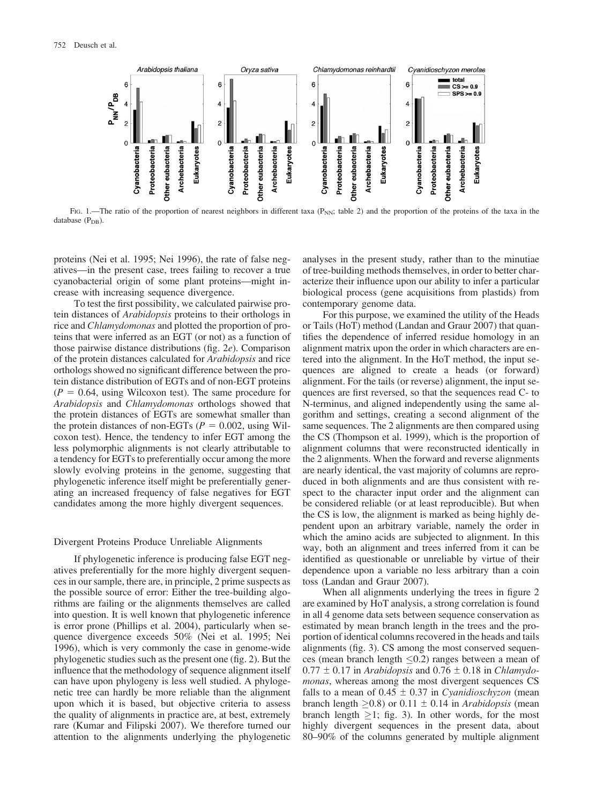

FIG. 1.—The ratio of the proportion of nearest neighbors in different taxa ( $P_{NN}$ ; table 2) and the proportion of the proteins of the taxa in the database  $(P_{DB})$ .

proteins (Nei et al. 1995; Nei 1996), the rate of false negatives—in the present case, trees failing to recover a true cyanobacterial origin of some plant proteins—might increase with increasing sequence divergence.

To test the first possibility, we calculated pairwise protein distances of Arabidopsis proteins to their orthologs in rice and Chlamydomonas and plotted the proportion of proteins that were inferred as an EGT (or not) as a function of those pairwise distance distributions (fig. 2e). Comparison of the protein distances calculated for Arabidopsis and rice orthologs showed no significant difference between the protein distance distribution of EGTs and of non-EGT proteins  $(P = 0.64$ , using Wilcoxon test). The same procedure for Arabidopsis and Chlamydomonas orthologs showed that the protein distances of EGTs are somewhat smaller than the protein distances of non-EGTs ( $P = 0.002$ , using Wilcoxon test). Hence, the tendency to infer EGT among the less polymorphic alignments is not clearly attributable to a tendency for EGTs to preferentially occur among the more slowly evolving proteins in the genome, suggesting that phylogenetic inference itself might be preferentially generating an increased frequency of false negatives for EGT candidates among the more highly divergent sequences.

#### Divergent Proteins Produce Unreliable Alignments

If phylogenetic inference is producing false EGT negatives preferentially for the more highly divergent sequences in our sample, there are, in principle, 2 prime suspects as the possible source of error: Either the tree-building algorithms are failing or the alignments themselves are called into question. It is well known that phylogenetic inference is error prone (Phillips et al. 2004), particularly when sequence divergence exceeds 50% (Nei et al. 1995; Nei 1996), which is very commonly the case in genome-wide phylogenetic studies such as the present one (fig. 2). But the influence that the methodology of sequence alignment itself can have upon phylogeny is less well studied. A phylogenetic tree can hardly be more reliable than the alignment upon which it is based, but objective criteria to assess the quality of alignments in practice are, at best, extremely rare (Kumar and Filipski 2007). We therefore turned our attention to the alignments underlying the phylogenetic

analyses in the present study, rather than to the minutiae of tree-building methods themselves, in order to better characterize their influence upon our ability to infer a particular biological process (gene acquisitions from plastids) from contemporary genome data.

For this purpose, we examined the utility of the Heads or Tails (HoT) method (Landan and Graur 2007) that quantifies the dependence of inferred residue homology in an alignment matrix upon the order in which characters are entered into the alignment. In the HoT method, the input sequences are aligned to create a heads (or forward) alignment. For the tails (or reverse) alignment, the input sequences are first reversed, so that the sequences read C- to N-terminus, and aligned independently using the same algorithm and settings, creating a second alignment of the same sequences. The 2 alignments are then compared using the CS (Thompson et al. 1999), which is the proportion of alignment columns that were reconstructed identically in the 2 alignments. When the forward and reverse alignments are nearly identical, the vast majority of columns are reproduced in both alignments and are thus consistent with respect to the character input order and the alignment can be considered reliable (or at least reproducible). But when the CS is low, the alignment is marked as being highly dependent upon an arbitrary variable, namely the order in which the amino acids are subjected to alignment. In this way, both an alignment and trees inferred from it can be identified as questionable or unreliable by virtue of their dependence upon a variable no less arbitrary than a coin toss (Landan and Graur 2007).

When all alignments underlying the trees in figure 2 are examined by HoT analysis, a strong correlation is found in all 4 genome data sets between sequence conservation as estimated by mean branch length in the trees and the proportion of identical columns recovered in the heads and tails alignments (fig. 3). CS among the most conserved sequences (mean branch length  $\leq 0.2$ ) ranges between a mean of  $0.77 \pm 0.17$  in Arabidopsis and  $0.76 \pm 0.18$  in Chlamydomonas, whereas among the most divergent sequences CS falls to a mean of  $0.45 \pm 0.37$  in Cyanidioschyzon (mean branch length  $\geq$ 0.8) or 0.11  $\pm$  0.14 in Arabidopsis (mean branch length  $\geq 1$ ; fig. 3). In other words, for the most highly divergent sequences in the present data, about 80–90% of the columns generated by multiple alignment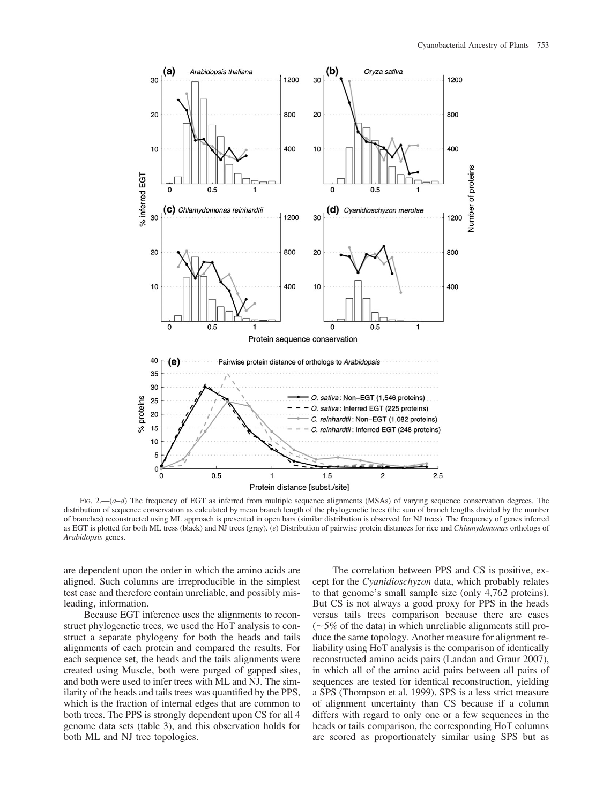

FIG. 2.— $(a-d)$  The frequency of EGT as inferred from multiple sequence alignments (MSAs) of varying sequence conservation degrees. The distribution of sequence conservation as calculated by mean branch length of the phylogenetic trees (the sum of branch lengths divided by the number of branches) reconstructed using ML approach is presented in open bars (similar distribution is observed for NJ trees). The frequency of genes inferred as EGT is plotted for both ML tress (black) and NJ trees (gray). (e) Distribution of pairwise protein distances for rice and Chlamydomonas orthologs of Arabidopsis genes.

are dependent upon the order in which the amino acids are aligned. Such columns are irreproducible in the simplest test case and therefore contain unreliable, and possibly misleading, information.

Because EGT inference uses the alignments to reconstruct phylogenetic trees, we used the HoT analysis to construct a separate phylogeny for both the heads and tails alignments of each protein and compared the results. For each sequence set, the heads and the tails alignments were created using Muscle, both were purged of gapped sites, and both were used to infer trees with ML and NJ. The similarity of the heads and tails trees was quantified by the PPS, which is the fraction of internal edges that are common to both trees. The PPS is strongly dependent upon CS for all 4 genome data sets (table 3), and this observation holds for both ML and NJ tree topologies.

The correlation between PPS and CS is positive, except for the Cyanidioschyzon data, which probably relates to that genome's small sample size (only 4,762 proteins). But CS is not always a good proxy for PPS in the heads versus tails trees comparison because there are cases  $(-5\%$  of the data) in which unreliable alignments still produce the same topology. Another measure for alignment reliability using HoT analysis is the comparison of identically reconstructed amino acids pairs (Landan and Graur 2007), in which all of the amino acid pairs between all pairs of sequences are tested for identical reconstruction, yielding a SPS (Thompson et al. 1999). SPS is a less strict measure of alignment uncertainty than CS because if a column differs with regard to only one or a few sequences in the heads or tails comparison, the corresponding HoT columns are scored as proportionately similar using SPS but as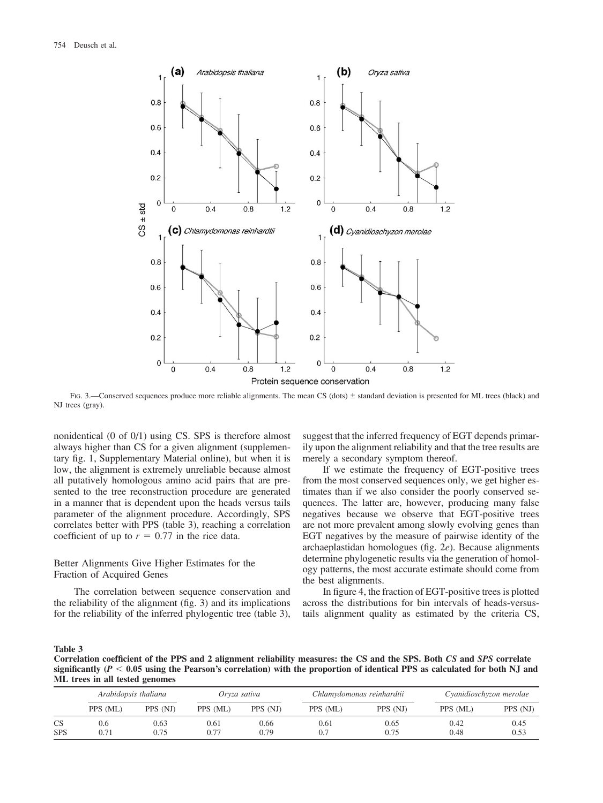

FIG. 3.—Conserved sequences produce more reliable alignments. The mean CS (dots)  $\pm$  standard deviation is presented for ML trees (black) and NJ trees (gray).

nonidentical (0 of 0/1) using CS. SPS is therefore almost always higher than CS for a given alignment (supplementary fig. 1, Supplementary Material online), but when it is low, the alignment is extremely unreliable because almost all putatively homologous amino acid pairs that are presented to the tree reconstruction procedure are generated in a manner that is dependent upon the heads versus tails parameter of the alignment procedure. Accordingly, SPS correlates better with PPS (table 3), reaching a correlation coefficient of up to  $r = 0.77$  in the rice data.

Better Alignments Give Higher Estimates for the Fraction of Acquired Genes

The correlation between sequence conservation and the reliability of the alignment (fig. 3) and its implications for the reliability of the inferred phylogentic tree (table 3), suggest that the inferred frequency of EGT depends primarily upon the alignment reliability and that the tree results are merely a secondary symptom thereof.

If we estimate the frequency of EGT-positive trees from the most conserved sequences only, we get higher estimates than if we also consider the poorly conserved sequences. The latter are, however, producing many false negatives because we observe that EGT-positive trees are not more prevalent among slowly evolving genes than EGT negatives by the measure of pairwise identity of the archaeplastidan homologues (fig. 2e). Because alignments determine phylogenetic results via the generation of homology patterns, the most accurate estimate should come from the best alignments.

In figure 4, the fraction of EGT-positive trees is plotted across the distributions for bin intervals of heads-versustails alignment quality as estimated by the criteria CS,

#### Table 3

Correlation coefficient of the PPS and 2 alignment reliability measures: the CS and the SPS. Both CS and SPS correlate significantly ( $P < 0.05$  using the Pearson's correlation) with the proportion of identical PPS as calculated for both NJ and ML trees in all tested genomes

|                         | Arabidopsis thaliana |              | Oryza sativa |              | Chlamydomonas reinhardtii |              | Cyanidioschyzon merolae |              |
|-------------------------|----------------------|--------------|--------------|--------------|---------------------------|--------------|-------------------------|--------------|
|                         | PPS (ML)             | PPS (NJ)     | PPS (ML)     | PPS (NJ)     | PPS (ML)                  | PPS (NJ)     | PPS (ML)                | PPS (NJ)     |
| <b>CS</b><br><b>SPS</b> | 0.6<br>0.71          | 0.63<br>0.75 | 0.61<br>0.77 | 0.66<br>0.79 | 0.61<br>0.7               | 0.65<br>0.75 | 0.42<br>0.48            | 0.45<br>0.53 |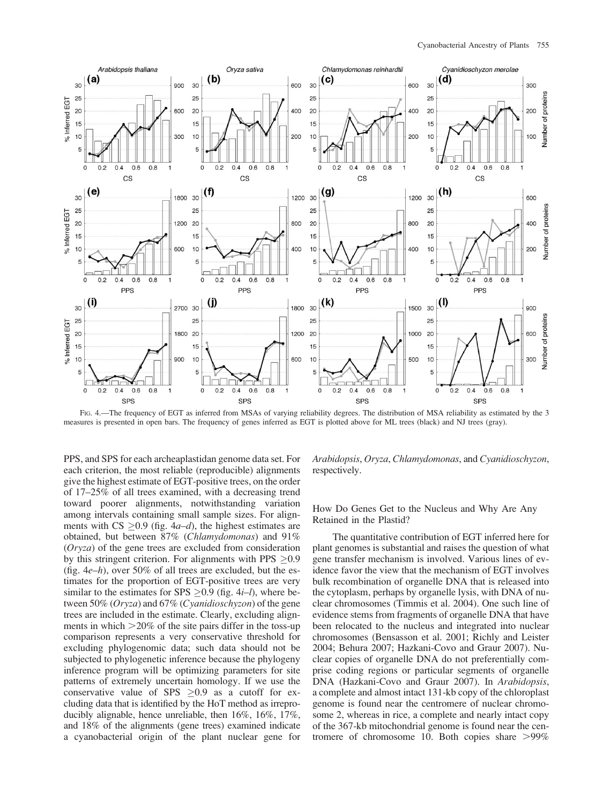

FIG. 4.—The frequency of EGT as inferred from MSAs of varying reliability degrees. The distribution of MSA reliability as estimated by the 3 measures is presented in open bars. The frequency of genes inferred as EGT is plotted above for ML trees (black) and NJ trees (gray).

PPS, and SPS for each archeaplastidan genome data set. For each criterion, the most reliable (reproducible) alignments give the highest estimate of EGT-positive trees, on the order of 17–25% of all trees examined, with a decreasing trend toward poorer alignments, notwithstanding variation among intervals containing small sample sizes. For alignments with CS  $\geq$  0.9 (fig. 4*a–d*), the highest estimates are obtained, but between 87% (Chlamydomonas) and 91% (Oryza) of the gene trees are excluded from consideration by this stringent criterion. For alignments with  $PPS > 0.9$ (fig.  $4e-h$ ), over 50% of all trees are excluded, but the estimates for the proportion of EGT-positive trees are very similar to the estimates for SPS  $\geq$  0.9 (fig. 4*i–l*), where between 50% (Oryza) and 67% (Cyanidioschyzon) of the gene trees are included in the estimate. Clearly, excluding alignments in which  $>20\%$  of the site pairs differ in the toss-up comparison represents a very conservative threshold for excluding phylogenomic data; such data should not be subjected to phylogenetic inference because the phylogeny inference program will be optimizing parameters for site patterns of extremely uncertain homology. If we use the conservative value of SPS  $>0.9$  as a cutoff for excluding data that is identified by the HoT method as irreproducibly alignable, hence unreliable, then 16%, 16%, 17%, and 18% of the alignments (gene trees) examined indicate a cyanobacterial origin of the plant nuclear gene for

Arabidopsis, Oryza, Chlamydomonas, and Cyanidioschyzon, respectively.

How Do Genes Get to the Nucleus and Why Are Any Retained in the Plastid?

The quantitative contribution of EGT inferred here for plant genomes is substantial and raises the question of what gene transfer mechanism is involved. Various lines of evidence favor the view that the mechanism of EGT involves bulk recombination of organelle DNA that is released into the cytoplasm, perhaps by organelle lysis, with DNA of nuclear chromosomes (Timmis et al. 2004). One such line of evidence stems from fragments of organelle DNA that have been relocated to the nucleus and integrated into nuclear chromosomes (Bensasson et al. 2001; Richly and Leister 2004; Behura 2007; Hazkani-Covo and Graur 2007). Nuclear copies of organelle DNA do not preferentially comprise coding regions or particular segments of organelle DNA (Hazkani-Covo and Graur 2007). In Arabidopsis, a complete and almost intact 131-kb copy of the chloroplast genome is found near the centromere of nuclear chromosome 2, whereas in rice, a complete and nearly intact copy of the 367-kb mitochondrial genome is found near the centromere of chromosome 10. Both copies share  $>99\%$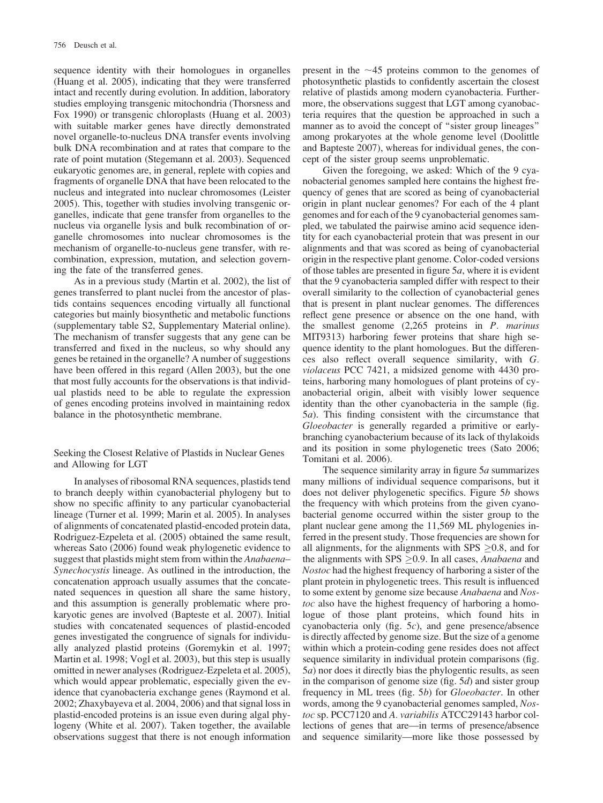sequence identity with their homologues in organelles (Huang et al. 2005), indicating that they were transferred intact and recently during evolution. In addition, laboratory studies employing transgenic mitochondria (Thorsness and Fox 1990) or transgenic chloroplasts (Huang et al. 2003) with suitable marker genes have directly demonstrated novel organelle-to-nucleus DNA transfer events involving bulk DNA recombination and at rates that compare to the rate of point mutation (Stegemann et al. 2003). Sequenced eukaryotic genomes are, in general, replete with copies and fragments of organelle DNA that have been relocated to the nucleus and integrated into nuclear chromosomes (Leister 2005). This, together with studies involving transgenic organelles, indicate that gene transfer from organelles to the nucleus via organelle lysis and bulk recombination of organelle chromosomes into nuclear chromosomes is the mechanism of organelle-to-nucleus gene transfer, with recombination, expression, mutation, and selection governing the fate of the transferred genes.

As in a previous study (Martin et al. 2002), the list of genes transferred to plant nuclei from the ancestor of plastids contains sequences encoding virtually all functional categories but mainly biosynthetic and metabolic functions (supplementary table S2, Supplementary Material online). The mechanism of transfer suggests that any gene can be transferred and fixed in the nucleus, so why should any genes be retained in the organelle? A number of suggestions have been offered in this regard (Allen 2003), but the one that most fully accounts for the observations is that individual plastids need to be able to regulate the expression of genes encoding proteins involved in maintaining redox balance in the photosynthetic membrane.

Seeking the Closest Relative of Plastids in Nuclear Genes and Allowing for LGT

In analyses of ribosomal RNA sequences, plastids tend to branch deeply within cyanobacterial phylogeny but to show no specific affinity to any particular cyanobacterial lineage (Turner et al. 1999; Marin et al. 2005). In analyses of alignments of concatenated plastid-encoded protein data, Rodriguez-Ezpeleta et al. (2005) obtained the same result, whereas Sato (2006) found weak phylogenetic evidence to suggest that plastids might stem from within the Anabaena– Synechocystis lineage. As outlined in the introduction, the concatenation approach usually assumes that the concatenated sequences in question all share the same history, and this assumption is generally problematic where prokaryotic genes are involved (Bapteste et al. 2007). Initial studies with concatenated sequences of plastid-encoded genes investigated the congruence of signals for individually analyzed plastid proteins (Goremykin et al. 1997; Martin et al. 1998; Vogl et al. 2003), but this step is usually omitted in newer analyses (Rodriguez-Ezpeleta et al. 2005), which would appear problematic, especially given the evidence that cyanobacteria exchange genes (Raymond et al. 2002; Zhaxybayeva et al. 2004, 2006) and that signal loss in plastid-encoded proteins is an issue even during algal phylogeny (White et al. 2007). Taken together, the available observations suggest that there is not enough information present in the  $\sim$ 45 proteins common to the genomes of photosynthetic plastids to confidently ascertain the closest relative of plastids among modern cyanobacteria. Furthermore, the observations suggest that LGT among cyanobacteria requires that the question be approached in such a manner as to avoid the concept of "sister group lineages" among prokaryotes at the whole genome level (Doolittle and Bapteste 2007), whereas for individual genes, the concept of the sister group seems unproblematic.

Given the foregoing, we asked: Which of the 9 cyanobacterial genomes sampled here contains the highest frequency of genes that are scored as being of cyanobacterial origin in plant nuclear genomes? For each of the 4 plant genomes and for each of the 9 cyanobacterial genomes sampled, we tabulated the pairwise amino acid sequence identity for each cyanobacterial protein that was present in our alignments and that was scored as being of cyanobacterial origin in the respective plant genome. Color-coded versions of those tables are presented in figure  $5a$ , where it is evident that the 9 cyanobacteria sampled differ with respect to their overall similarity to the collection of cyanobacterial genes that is present in plant nuclear genomes. The differences reflect gene presence or absence on the one hand, with the smallest genome  $(2,265)$  proteins in *P. marinus* MIT9313) harboring fewer proteins that share high sequence identity to the plant homologues. But the differences also reflect overall sequence similarity, with G. violaceus PCC 7421, a midsized genome with 4430 proteins, harboring many homologues of plant proteins of cyanobacterial origin, albeit with visibly lower sequence identity than the other cyanobacteria in the sample (fig. 5a). This finding consistent with the circumstance that Gloeobacter is generally regarded a primitive or earlybranching cyanobacterium because of its lack of thylakoids and its position in some phylogenetic trees (Sato 2006; Tomitani et al. 2006).

The sequence similarity array in figure  $5a$  summarizes many millions of individual sequence comparisons, but it does not deliver phylogenetic specifics. Figure 5b shows the frequency with which proteins from the given cyanobacterial genome occurred within the sister group to the plant nuclear gene among the 11,569 ML phylogenies inferred in the present study. Those frequencies are shown for all alignments, for the alignments with  $SPS > 0.8$ , and for the alignments with SPS  $\geq$  0.9. In all cases, Anabaena and Nostoc had the highest frequency of harboring a sister of the plant protein in phylogenetic trees. This result is influenced to some extent by genome size because Anabaena and Nostoc also have the highest frequency of harboring a homologue of those plant proteins, which found hits in cyanobacteria only (fig.  $5c$ ), and gene presence/absence is directly affected by genome size. But the size of a genome within which a protein-coding gene resides does not affect sequence similarity in individual protein comparisons (fig. 5a) nor does it directly bias the phylogentic results, as seen in the comparison of genome size (fig.  $5d$ ) and sister group frequency in ML trees (fig. 5b) for Gloeobacter. In other words, among the 9 cyanobacterial genomes sampled, Nostoc sp. PCC7120 and A. variabilis ATCC29143 harbor collections of genes that are—in terms of presence/absence and sequence similarity—more like those possessed by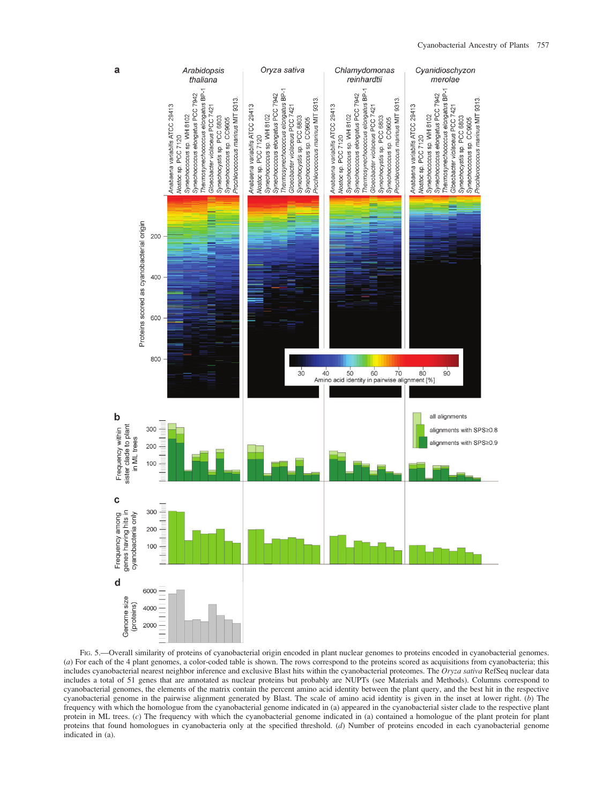# Cyanobacterial Ancestry of Plants 757



FIG. 5.—Overall similarity of proteins of cyanobacterial origin encoded in plant nuclear genomes to proteins encoded in cyanobacterial genomes. (a) For each of the 4 plant genomes, a color-coded table is shown. The rows correspond to the proteins scored as acquisitions from cyanobacteria; this includes cyanobacterial nearest neighbor inference and exclusive Blast hits within the cyanobacterial proteomes. The Oryza sativa RefSeq nuclear data includes a total of 51 genes that are annotated as nuclear proteins but probably are NUPTs (see Materials and Methods). Columns correspond to cyanobacterial genomes, the elements of the matrix contain the percent amino acid identity between the plant query, and the best hit in the respective cyanobacterial genome in the pairwise alignment generated by Blast. The scale of amino acid identity is given in the inset at lower right. (b) The frequency with which the homologue from the cyanobacterial genome indicated in (a) appeared in the cyanobacterial sister clade to the respective plant protein in ML trees. (c) The frequency with which the cyanobacterial genome indicated in (a) contained a homologue of the plant protein for plant proteins that found homologues in cyanobacteria only at the specified threshold. (d) Number of proteins encoded in each cyanobacterial genome indicated in (a).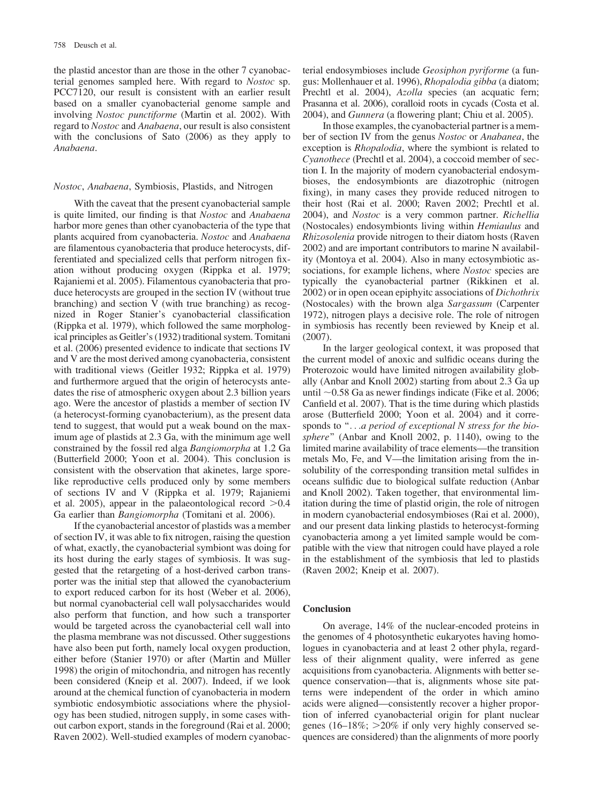the plastid ancestor than are those in the other 7 cyanobacterial genomes sampled here. With regard to Nostoc sp. PCC7120, our result is consistent with an earlier result based on a smaller cyanobacterial genome sample and involving Nostoc punctiforme (Martin et al. 2002). With regard to Nostoc and Anabaena, our result is also consistent with the conclusions of Sato (2006) as they apply to Anabaena.

#### Nostoc, Anabaena, Symbiosis, Plastids, and Nitrogen

With the caveat that the present cyanobacterial sample is quite limited, our finding is that Nostoc and Anabaena harbor more genes than other cyanobacteria of the type that plants acquired from cyanobacteria. Nostoc and Anabaena are filamentous cyanobacteria that produce heterocysts, differentiated and specialized cells that perform nitrogen fixation without producing oxygen (Rippka et al. 1979; Rajaniemi et al. 2005). Filamentous cyanobacteria that produce heterocysts are grouped in the section IV (without true branching) and section V (with true branching) as recognized in Roger Stanier's cyanobacterial classification (Rippka et al. 1979), which followed the same morphological principles as Geitler's (1932) traditional system. Tomitani et al. (2006) presented evidence to indicate that sections IV and V are the most derived among cyanobacteria, consistent with traditional views (Geitler 1932; Rippka et al. 1979) and furthermore argued that the origin of heterocysts antedates the rise of atmospheric oxygen about 2.3 billion years ago. Were the ancestor of plastids a member of section IV (a heterocyst-forming cyanobacterium), as the present data tend to suggest, that would put a weak bound on the maximum age of plastids at 2.3 Ga, with the minimum age well constrained by the fossil red alga Bangiomorpha at 1.2 Ga (Butterfield 2000; Yoon et al. 2004). This conclusion is consistent with the observation that akinetes, large sporelike reproductive cells produced only by some members of sections IV and V (Rippka et al. 1979; Rajaniemi et al. 2005), appear in the palaeontological record  $>0.4$ Ga earlier than Bangiomorpha (Tomitani et al. 2006).

If the cyanobacterial ancestor of plastids was a member of section IV, it was able to fix nitrogen, raising the question of what, exactly, the cyanobacterial symbiont was doing for its host during the early stages of symbiosis. It was suggested that the retargeting of a host-derived carbon transporter was the initial step that allowed the cyanobacterium to export reduced carbon for its host (Weber et al. 2006), but normal cyanobacterial cell wall polysaccharides would also perform that function, and how such a transporter would be targeted across the cyanobacterial cell wall into the plasma membrane was not discussed. Other suggestions have also been put forth, namely local oxygen production, either before (Stanier 1970) or after (Martin and Müller 1998) the origin of mitochondria, and nitrogen has recently been considered (Kneip et al. 2007). Indeed, if we look around at the chemical function of cyanobacteria in modern symbiotic endosymbiotic associations where the physiology has been studied, nitrogen supply, in some cases without carbon export, stands in the foreground (Rai et al. 2000; Raven 2002). Well-studied examples of modern cyanobacterial endosymbioses include Geosiphon pyriforme (a fungus: Mollenhauer et al. 1996), Rhopalodia gibba (a diatom; Prechtl et al. 2004), Azolla species (an acquatic fern; Prasanna et al. 2006), coralloid roots in cycads (Costa et al. 2004), and Gunnera (a flowering plant; Chiu et al. 2005).

In those examples, the cyanobacterial partner is a member of section IV from the genus Nostoc or Anabanea, the exception is *Rhopalodia*, where the symbiont is related to Cyanothece (Prechtl et al. 2004), a coccoid member of section I. In the majority of modern cyanobacterial endosymbioses, the endosymbionts are diazotrophic (nitrogen fixing), in many cases they provide reduced nitrogen to their host (Rai et al. 2000; Raven 2002; Prechtl et al. 2004), and Nostoc is a very common partner. Richellia (Nostocales) endosymbionts living within Hemiaulus and Rhizosolenia provide nitrogen to their diatom hosts (Raven 2002) and are important contributors to marine N availability (Montoya et al. 2004). Also in many ectosymbiotic associations, for example lichens, where *Nostoc* species are typically the cyanobacterial partner (Rikkinen et al. 2002) or in open ocean epiphyitc associations of Dichothrix (Nostocales) with the brown alga Sargassum (Carpenter 1972), nitrogen plays a decisive role. The role of nitrogen in symbiosis has recently been reviewed by Kneip et al. (2007).

In the larger geological context, it was proposed that the current model of anoxic and sulfidic oceans during the Proterozoic would have limited nitrogen availability globally (Anbar and Knoll 2002) starting from about 2.3 Ga up until  $\sim$ 0.58 Ga as newer findings indicate (Fike et al. 2006; Canfield et al. 2007). That is the time during which plastids arose (Butterfield 2000; Yoon et al. 2004) and it corresponds to "...a period of exceptional N stress for the biosphere" (Anbar and Knoll 2002, p. 1140), owing to the limited marine availability of trace elements—the transition metals Mo, Fe, and V—the limitation arising from the insolubility of the corresponding transition metal sulfides in oceans sulfidic due to biological sulfate reduction (Anbar and Knoll 2002). Taken together, that environmental limitation during the time of plastid origin, the role of nitrogen in modern cyanobacterial endosymbioses (Rai et al. 2000), and our present data linking plastids to heterocyst-forming cyanobacteria among a yet limited sample would be compatible with the view that nitrogen could have played a role in the establishment of the symbiosis that led to plastids (Raven 2002; Kneip et al. 2007).

# **Conclusion**

On average, 14% of the nuclear-encoded proteins in the genomes of 4 photosynthetic eukaryotes having homologues in cyanobacteria and at least 2 other phyla, regardless of their alignment quality, were inferred as gene acquisitions from cyanobacteria. Alignments with better sequence conservation—that is, alignments whose site patterns were independent of the order in which amino acids were aligned—consistently recover a higher proportion of inferred cyanobacterial origin for plant nuclear genes (16–18%;  $>20\%$  if only very highly conserved sequences are considered) than the alignments of more poorly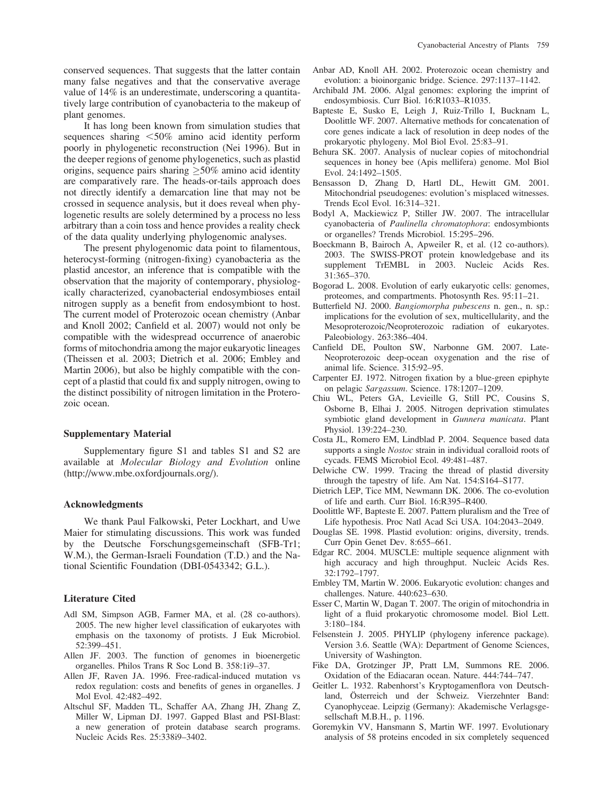conserved sequences. That suggests that the latter contain many false negatives and that the conservative average value of 14% is an underestimate, underscoring a quantitatively large contribution of cyanobacteria to the makeup of plant genomes.

It has long been known from simulation studies that sequences sharing  $\leq 50\%$  amino acid identity perform poorly in phylogenetic reconstruction (Nei 1996). But in the deeper regions of genome phylogenetics, such as plastid origins, sequence pairs sharing  $\geq$ 50% amino acid identity are comparatively rare. The heads-or-tails approach does not directly identify a demarcation line that may not be crossed in sequence analysis, but it does reveal when phylogenetic results are solely determined by a process no less arbitrary than a coin toss and hence provides a reality check of the data quality underlying phylogenomic analyses.

The present phylogenomic data point to filamentous, heterocyst-forming (nitrogen-fixing) cyanobacteria as the plastid ancestor, an inference that is compatible with the observation that the majority of contemporary, physiologically characterized, cyanobacterial endosymbioses entail nitrogen supply as a benefit from endosymbiont to host. The current model of Proterozoic ocean chemistry (Anbar and Knoll 2002; Canfield et al. 2007) would not only be compatible with the widespread occurrence of anaerobic forms of mitochondria among the major eukaryotic lineages (Theissen et al. 2003; Dietrich et al. 2006; Embley and Martin 2006), but also be highly compatible with the concept of a plastid that could fix and supply nitrogen, owing to the distinct possibility of nitrogen limitation in the Proterozoic ocean.

# Supplementary Material

Supplementary figure S1 and tables S1 and S2 are available at Molecular Biology and Evolution online [\(http://www.mbe.oxfordjournals.org/\).](http://www.mbe.oxfordjournals.org/)

#### Acknowledgments

We thank Paul Falkowski, Peter Lockhart, and Uwe Maier for stimulating discussions. This work was funded by the Deutsche Forschungsgemeinschaft (SFB-Tr1; W.M.), the German-Israeli Foundation (T.D.) and the National Scientific Foundation (DBI-0543342; G.L.).

#### Literature Cited

- Adl SM, Simpson AGB, Farmer MA, et al. (28 co-authors). 2005. The new higher level classification of eukaryotes with emphasis on the taxonomy of protists. J Euk Microbiol. 52:399–451.
- Allen JF. 2003. The function of genomes in bioenergetic organelles. Philos Trans R Soc Lond B. 358:1i9–37.
- Allen JF, Raven JA. 1996. Free-radical-induced mutation vs redox regulation: costs and benefits of genes in organelles. J Mol Evol. 42:482–492.
- Altschul SF, Madden TL, Schaffer AA, Zhang JH, Zhang Z, Miller W, Lipman DJ. 1997. Gapped Blast and PSI-Blast: a new generation of protein database search programs. Nucleic Acids Res. 25:338i9–3402.
- Anbar AD, Knoll AH. 2002. Proterozoic ocean chemistry and evolution: a bioinorganic bridge. Science. 297:1137–1142.
- Archibald JM. 2006. Algal genomes: exploring the imprint of endosymbiosis. Curr Biol. 16:R1033–R1035.
- Bapteste E, Susko E, Leigh J, Ruiz-Trillo I, Bucknam L, Doolittle WF. 2007. Alternative methods for concatenation of core genes indicate a lack of resolution in deep nodes of the prokaryotic phylogeny. Mol Biol Evol. 25:83–91.
- Behura SK. 2007. Analysis of nuclear copies of mitochondrial sequences in honey bee (Apis mellifera) genome. Mol Biol Evol. 24:1492–1505.
- Bensasson D, Zhang D, Hartl DL, Hewitt GM. 2001. Mitochondrial pseudogenes: evolution's misplaced witnesses. Trends Ecol Evol. 16:314–321.
- Bodyl A, Mackiewicz P, Stiller JW. 2007. The intracellular cyanobacteria of Paulinella chromatophora: endosymbionts or organelles? Trends Microbiol. 15:295–296.
- Boeckmann B, Bairoch A, Apweiler R, et al. (12 co-authors). 2003. The SWISS-PROT protein knowledgebase and its supplement TrEMBL in 2003. Nucleic Acids Res. 31:365–370.
- Bogorad L. 2008. Evolution of early eukaryotic cells: genomes, proteomes, and compartments. Photosynth Res. 95:11–21.
- Butterfield NJ. 2000. Bangiomorpha pubescens n. gen., n. sp.: implications for the evolution of sex, multicellularity, and the Mesoproterozoic/Neoproterozoic radiation of eukaryotes. Paleobiology. 263:386–404.
- Canfield DE, Poulton SW, Narbonne GM. 2007. Late-Neoproterozoic deep-ocean oxygenation and the rise of animal life. Science. 315:92–95.
- Carpenter EJ. 1972. Nitrogen fixation by a blue-green epiphyte on pelagic Sargassum. Science. 178:1207–1209.
- Chiu WL, Peters GA, Levieille G, Still PC, Cousins S, Osborne B, Elhai J. 2005. Nitrogen deprivation stimulates symbiotic gland development in Gunnera manicata. Plant Physiol. 139:224–230.
- Costa JL, Romero EM, Lindblad P. 2004. Sequence based data supports a single Nostoc strain in individual coralloid roots of cycads. FEMS Microbiol Ecol. 49:481–487.
- Delwiche CW. 1999. Tracing the thread of plastid diversity through the tapestry of life. Am Nat. 154:S164–S177.
- Dietrich LEP, Tice MM, Newmann DK. 2006. The co-evolution of life and earth. Curr Biol. 16:R395–R400.
- Doolittle WF, Bapteste E. 2007. Pattern pluralism and the Tree of Life hypothesis. Proc Natl Acad Sci USA. 104:2043–2049.
- Douglas SE. 1998. Plastid evolution: origins, diversity, trends. Curr Opin Genet Dev. 8:655–661.
- Edgar RC. 2004. MUSCLE: multiple sequence alignment with high accuracy and high throughput. Nucleic Acids Res. 32:1792–1797.
- Embley TM, Martin W. 2006. Eukaryotic evolution: changes and challenges. Nature. 440:623–630.
- Esser C, Martin W, Dagan T. 2007. The origin of mitochondria in light of a fluid prokaryotic chromosome model. Biol Lett. 3:180–184.
- Felsenstein J. 2005. PHYLIP (phylogeny inference package). Version 3.6. Seattle (WA): Department of Genome Sciences, University of Washington.
- Fike DA, Grotzinger JP, Pratt LM, Summons RE. 2006. Oxidation of the Ediacaran ocean. Nature. 444:744–747.
- Geitler L. 1932. Rabenhorst's Kryptogamenflora von Deutschland, Österreich und der Schweiz. Vierzehnter Band: Cyanophyceae. Leipzig (Germany): Akademische Verlagsgesellschaft M.B.H., p. 1196.
- Goremykin VV, Hansmann S, Martin WF. 1997. Evolutionary analysis of 58 proteins encoded in six completely sequenced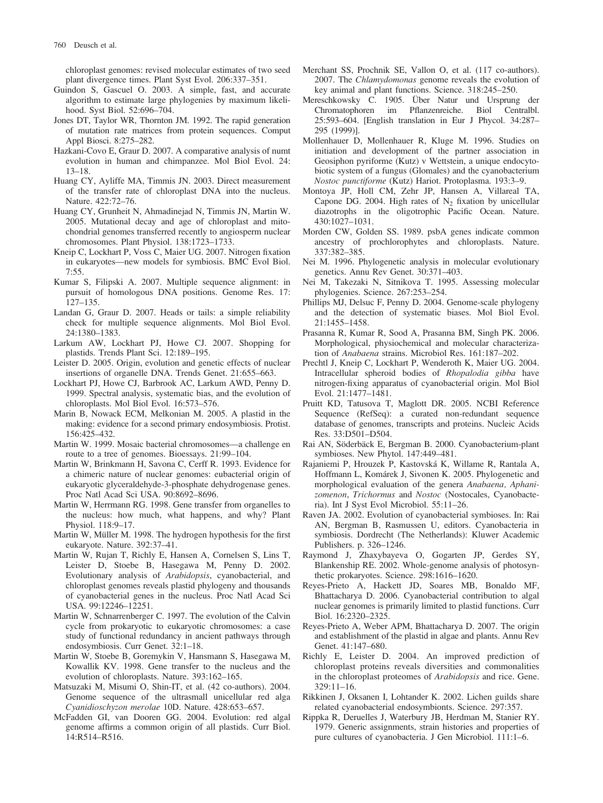chloroplast genomes: revised molecular estimates of two seed plant divergence times. Plant Syst Evol. 206:337–351.

- Guindon S, Gascuel O. 2003. A simple, fast, and accurate algorithm to estimate large phylogenies by maximum likelihood. Syst Biol. 52:696–704.
- Jones DT, Taylor WR, Thornton JM. 1992. The rapid generation of mutation rate matrices from protein sequences. Comput Appl Biosci. 8:275–282.
- Hazkani-Covo E, Graur D. 2007. A comparative analysis of numt evolution in human and chimpanzee. Mol Biol Evol. 24: 13–18.
- Huang CY, Ayliffe MA, Timmis JN. 2003. Direct measurement of the transfer rate of chloroplast DNA into the nucleus. Nature. 422:72–76.
- Huang CY, Grunheit N, Ahmadinejad N, Timmis JN, Martin W. 2005. Mutational decay and age of chloroplast and mitochondrial genomes transferred recently to angiosperm nuclear chromosomes. Plant Physiol. 138:1723–1733.
- Kneip C, Lockhart P, Voss C, Maier UG. 2007. Nitrogen fixation in eukaryotes—new models for symbiosis. BMC Evol Biol. 7:55.
- Kumar S, Filipski A. 2007. Multiple sequence alignment: in pursuit of homologous DNA positions. Genome Res. 17: 127–135.
- Landan G, Graur D. 2007. Heads or tails: a simple reliability check for multiple sequence alignments. Mol Biol Evol. 24:1380–1383.
- Larkum AW, Lockhart PJ, Howe CJ. 2007. Shopping for plastids. Trends Plant Sci. 12:189–195.
- Leister D. 2005. Origin, evolution and genetic effects of nuclear insertions of organelle DNA. Trends Genet. 21:655–663.
- Lockhart PJ, Howe CJ, Barbrook AC, Larkum AWD, Penny D. 1999. Spectral analysis, systematic bias, and the evolution of chloroplasts. Mol Biol Evol. 16:573–576.
- Marin B, Nowack ECM, Melkonian M. 2005. A plastid in the making: evidence for a second primary endosymbiosis. Protist. 156:425–432.
- Martin W. 1999. Mosaic bacterial chromosomes—a challenge en route to a tree of genomes. Bioessays. 21:99–104.
- Martin W, Brinkmann H, Savona C, Cerff R. 1993. Evidence for a chimeric nature of nuclear genomes: eubacterial origin of eukaryotic glyceraldehyde-3-phosphate dehydrogenase genes. Proc Natl Acad Sci USA. 90:8692–8696.
- Martin W, Herrmann RG. 1998. Gene transfer from organelles to the nucleus: how much, what happens, and why? Plant Physiol. 118:9–17.
- Martin W, Müller M. 1998. The hydrogen hypothesis for the first eukaryote. Nature. 392:37–41.
- Martin W, Rujan T, Richly E, Hansen A, Cornelsen S, Lins T, Leister D, Stoebe B, Hasegawa M, Penny D. 2002. Evolutionary analysis of Arabidopsis, cyanobacterial, and chloroplast genomes reveals plastid phylogeny and thousands of cyanobacterial genes in the nucleus. Proc Natl Acad Sci USA. 99:12246–12251.
- Martin W, Schnarrenberger C. 1997. The evolution of the Calvin cycle from prokaryotic to eukaryotic chromosomes: a case study of functional redundancy in ancient pathways through endosymbiosis. Curr Genet. 32:1–18.
- Martin W, Stoebe B, Goremykin V, Hansmann S, Hasegawa M, Kowallik KV. 1998. Gene transfer to the nucleus and the evolution of chloroplasts. Nature. 393:162–165.
- Matsuzaki M, Misumi O, Shin-IT, et al. (42 co-authors). 2004. Genome sequence of the ultrasmall unicellular red alga Cyanidioschyzon merolae 10D. Nature. 428:653–657.
- McFadden GI, van Dooren GG. 2004. Evolution: red algal genome affirms a common origin of all plastids. Curr Biol. 14:R514–R516.
- Merchant SS, Prochnik SE, Vallon O, et al. (117 co-authors). 2007. The Chlamydomonas genome reveals the evolution of key animal and plant functions. Science. 318:245–250.
- Mereschkowsky C. 1905. Über Natur und Ursprung der Chromatophoren im Pflanzenreiche. Biol Centralbl. 25:593–604. [English translation in Eur J Phycol. 34:287– 295 (1999)].
- Mollenhauer D, Mollenhauer R, Kluge M. 1996. Studies on initiation and development of the partner association in Geosiphon pyriforme (Kutz) v Wettstein, a unique endocytobiotic system of a fungus (Glomales) and the cyanobacterium Nostoc punctiforme (Kutz) Hariot. Protoplasma. 193:3–9.
- Montoya JP, Holl CM, Zehr JP, Hansen A, Villareal TA, Capone DG. 2004. High rates of  $N_2$  fixation by unicellular diazotrophs in the oligotrophic Pacific Ocean. Nature. 430:1027–1031.
- Morden CW, Golden SS. 1989. psbA genes indicate common ancestry of prochlorophytes and chloroplasts. Nature. 337:382–385.
- Nei M. 1996. Phylogenetic analysis in molecular evolutionary genetics. Annu Rev Genet. 30:371–403.
- Nei M, Takezaki N, Sitnikova T. 1995. Assessing molecular phylogenies. Science. 267:253–254.
- Phillips MJ, Delsuc F, Penny D. 2004. Genome-scale phylogeny and the detection of systematic biases. Mol Biol Evol. 21:1455–1458.
- Prasanna R, Kumar R, Sood A, Prasanna BM, Singh PK. 2006. Morphological, physiochemical and molecular characterization of Anabaena strains. Microbiol Res. 161:187–202.
- Prechtl J, Kneip C, Lockhart P, Wenderoth K, Maier UG. 2004. Intracellular spheroid bodies of Rhopalodia gibba have nitrogen-fixing apparatus of cyanobacterial origin. Mol Biol Evol. 21:1477–1481.
- Pruitt KD, Tatusova T, Maglott DR. 2005. NCBI Reference Sequence (RefSeq): a curated non-redundant sequence database of genomes, transcripts and proteins. Nucleic Acids Res. 33:D501–D504.
- Rai AN, Söderbäck E, Bergman B. 2000. Cyanobacterium-plant symbioses. New Phytol. 147:449–481.
- Rajaniemi P, Hrouzek P, Kastovska´ K, Willame R, Rantala A, Hoffmann L, Komárek J, Sivonen K. 2005. Phylogenetic and morphological evaluation of the genera Anabaena, Aphanizomenon, Trichormus and Nostoc (Nostocales, Cyanobacteria). Int J Syst Evol Microbiol. 55:11–26.
- Raven JA. 2002. Evolution of cyanobacterial symbioses. In: Rai AN, Bergman B, Rasmussen U, editors. Cyanobacteria in symbiosis. Dordrecht (The Netherlands): Kluwer Academic Publishers. p. 326–1246.
- Raymond J, Zhaxybayeva O, Gogarten JP, Gerdes SY, Blankenship RE. 2002. Whole-genome analysis of photosynthetic prokaryotes. Science. 298:1616–1620.
- Reyes-Prieto A, Hackett JD, Soares MB, Bonaldo MF, Bhattacharya D. 2006. Cyanobacterial contribution to algal nuclear genomes is primarily limited to plastid functions. Curr Biol. 16:2320–2325.
- Reyes-Prieto A, Weber APM, Bhattacharya D. 2007. The origin and establishment of the plastid in algae and plants. Annu Rev Genet. 41:147–680.
- Richly E, Leister D. 2004. An improved prediction of chloroplast proteins reveals diversities and commonalities in the chloroplast proteomes of Arabidopsis and rice. Gene. 329:11–16.
- Rikkinen J, Oksanen I, Lohtander K. 2002. Lichen guilds share related cyanobacterial endosymbionts. Science. 297:357.
- Rippka R, Deruelles J, Waterbury JB, Herdman M, Stanier RY. 1979. Generic assignments, strain histories and properties of pure cultures of cyanobacteria. J Gen Microbiol. 111:1–6.